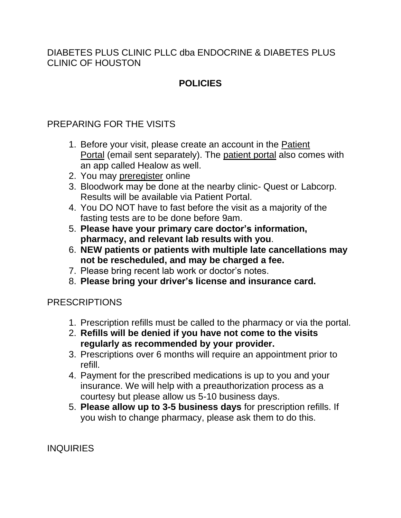DIABETES PLUS CLINIC PLLC dba ENDOCRINE & DIABETES PLUS CLINIC OF HOUSTON

# **POLICIES**

## PREPARING FOR THE VISITS

- 1. Before your visit, please create an account in the [Patient](https://www.endocrine.plus/best-endocrinologist-houston-tx/visit-guide/patient-portal/) [Portal](https://www.endocrine.plus/best-endocrinologist-houston-tx/visit-guide/patient-portal/) (email sent separately). The [patient](https://www.endocrine.plus/best-endocrinologist-houston-tx/visit-guide/patient-portal/) portal also comes with an app called Healow as well.
- 2. You may [preregister](https://mycw132.ecwcloud.com/portal18396/jsp/jspnew/preRegistration_new.jsp) online
- 3. Bloodwork may be done at the nearby clinic- Quest or Labcorp. Results will be available via Patient Portal.
- 4. You DO NOT have to fast before the visit as a majority of the fasting tests are to be done before 9am.
- 5. **Please have your primary care doctor's information, pharmacy, and relevant lab results with you**.
- 6. **NEW patients or patients with multiple late cancellations may not be rescheduled, and may be charged a fee.**
- 7. Please bring recent lab work or doctor's notes.
- 8. **Please bring your driver's license and insurance card.**

### PRESCRIPTIONS

- 1. Prescription refills must be called to the pharmacy or via the portal.
- 2. **Refills will be denied if you have not come to the visits regularly as recommended by your provider.**
- 3. Prescriptions over 6 months will require an appointment prior to refill.
- 4. Payment for the prescribed medications is up to you and your insurance. We will help with a preauthorization process as a courtesy but please allow us 5-10 business days.
- 5. **Please allow up to 3-5 business days** for prescription refills. If you wish to change pharmacy, please ask them to do this.

**INQUIRIES**